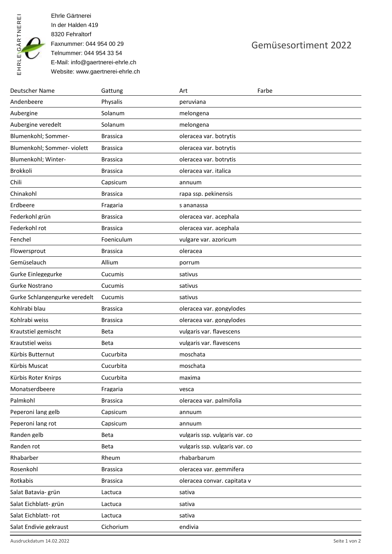

Ehrle Gärtnerei In der Halden 419 8320 Fehraltorf Faxnummer: 044 954 00 29 Telnummer: 044 954 33 54 E-Mail: info@gaertnerei-ehrle.ch Website: www.gaertnerei-ehrle.ch

## Gemüsesortiment 2022

| <b>Deutscher Name</b>         | Gattung         | Art                            | Farbe |
|-------------------------------|-----------------|--------------------------------|-------|
| Andenbeere                    | Physalis        | peruviana                      |       |
| Aubergine                     | Solanum         | melongena                      |       |
| Aubergine veredelt            | Solanum         | melongena                      |       |
| Blumenkohl; Sommer-           | <b>Brassica</b> | oleracea var. botrytis         |       |
| Blumenkohl; Sommer-violett    | <b>Brassica</b> | oleracea var. botrytis         |       |
| Blumenkohl; Winter-           | <b>Brassica</b> | oleracea var. botrytis         |       |
| Brokkoli                      | <b>Brassica</b> | oleracea var. italica          |       |
| Chili                         | Capsicum        | annuum                         |       |
| Chinakohl                     | <b>Brassica</b> | rapa ssp. pekinensis           |       |
| Erdbeere                      | Fragaria        | s ananassa                     |       |
| Federkohl grün                | <b>Brassica</b> | oleracea var. acephala         |       |
| Federkohl rot                 | <b>Brassica</b> | oleracea var. acephala         |       |
| Fenchel                       | Foeniculum      | vulgare var. azoricum          |       |
| Flowersprout                  | <b>Brassica</b> | oleracea                       |       |
| Gemüselauch                   | Allium          | porrum                         |       |
| Gurke Einlegegurke            | Cucumis         | sativus                        |       |
| Gurke Nostrano                | Cucumis         | sativus                        |       |
| Gurke Schlangengurke veredelt | Cucumis         | sativus                        |       |
| Kohlrabi blau                 | <b>Brassica</b> | oleracea var. gongylodes       |       |
| Kohlrabi weiss                | <b>Brassica</b> | oleracea var. gongylodes       |       |
| Krautstiel gemischt           | Beta            | vulgaris var. flavescens       |       |
| Krautstiel weiss              | Beta            | vulgaris var. flavescens       |       |
| Kürbis Butternut              | Cucurbita       | moschata                       |       |
| Kürbis Muscat                 | Cucurbita       | moschata                       |       |
| Kürbis Roter Knirps           | Cucurbita       | maxima                         |       |
| Monatserdbeere                | Fragaria        | vesca                          |       |
| Palmkohl                      | <b>Brassica</b> | oleracea var. palmifolia       |       |
| Peperoni lang gelb            | Capsicum        | annuum                         |       |
| Peperoni lang rot             | Capsicum        | annuum                         |       |
| Randen gelb                   | Beta            | vulgaris ssp. vulgaris var. co |       |
| Randen rot                    | Beta            | vulgaris ssp. vulgaris var. co |       |
| Rhabarber                     | Rheum           | rhabarbarum                    |       |
| Rosenkohl                     | <b>Brassica</b> | oleracea var. gemmifera        |       |
| Rotkabis                      | <b>Brassica</b> | oleracea convar. capitata v    |       |
| Salat Batavia- grün           | Lactuca         | sativa                         |       |
| Salat Eichblatt- grün         | Lactuca         | sativa                         |       |
| Salat Eichblatt-rot           | Lactuca         | sativa                         |       |
| Salat Endivie gekraust        | Cichorium       | endivia                        |       |